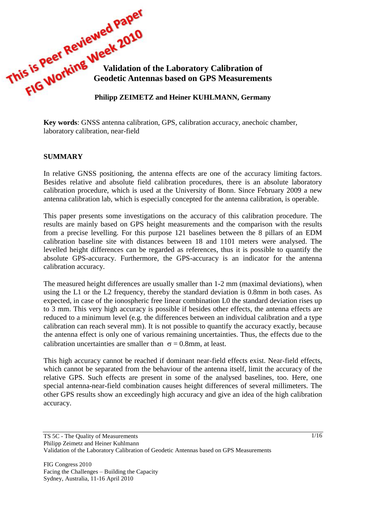

**Key words**: GNSS antenna calibration, GPS, calibration accuracy, anechoic chamber, laboratory calibration, near-field

### **SUMMARY**

In relative GNSS positioning, the antenna effects are one of the accuracy limiting factors. Besides relative and absolute field calibration procedures, there is an absolute laboratory calibration procedure, which is used at the University of Bonn. Since February 2009 a new antenna calibration lab, which is especially concepted for the antenna calibration, is operable.

This paper presents some investigations on the accuracy of this calibration procedure. The results are mainly based on GPS height measurements and the comparison with the results from a precise levelling. For this purpose 121 baselines between the 8 pillars of an EDM calibration baseline site with distances between 18 and 1101 meters were analysed. The levelled height differences can be regarded as references, thus it is possible to quantify the absolute GPS-accuracy. Furthermore, the GPS-accuracy is an indicator for the antenna calibration accuracy.

The measured height differences are usually smaller than 1-2 mm (maximal deviations), when using the L1 or the L2 frequency, thereby the standard deviation is 0.8mm in both cases. As expected, in case of the ionospheric free linear combination L0 the standard deviation rises up to 3 mm. This very high accuracy is possible if besides other effects, the antenna effects are reduced to a minimum level (e.g. the differences between an individual calibration and a type calibration can reach several mm). It is not possible to quantify the accuracy exactly, because the antenna effect is only one of various remaining uncertainties. Thus, the effects due to the calibration uncertainties are smaller than  $\sigma = 0.8$ mm, at least.

This high accuracy cannot be reached if dominant near-field effects exist. Near-field effects, which cannot be separated from the behaviour of the antenna itself, limit the accuracy of the relative GPS. Such effects are present in some of the analysed baselines, too. Here, one special antenna-near-field combination causes height differences of several millimeters. The other GPS results show an exceedingly high accuracy and give an idea of the high calibration accuracy.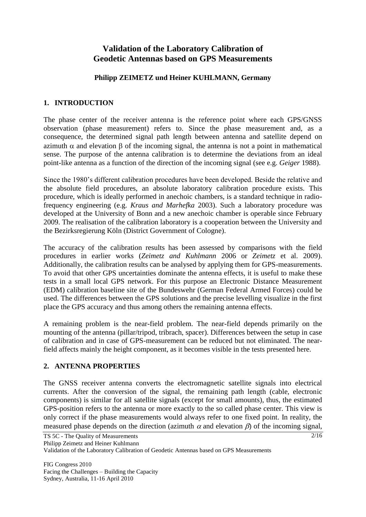# **Validation of the Laboratory Calibration of Geodetic Antennas based on GPS Measurements**

### **Philipp ZEIMETZ und Heiner KUHLMANN, Germany**

### **1. INTRODUCTION**

The phase center of the receiver antenna is the reference point where each GPS/GNSS observation (phase measurement) refers to. Since the phase measurement and, as a consequence, the determined signal path length between antenna and satellite depend on azimuth  $\alpha$  and elevation  $\beta$  of the incoming signal, the antenna is not a point in mathematical sense. The purpose of the antenna calibration is to determine the deviations from an ideal point-like antenna as a function of the direction of the incoming signal (see e.g. *Geiger* 1988).

Since the 1980's different calibration procedures have been developed. Beside the relative and the absolute field procedures, an absolute laboratory calibration procedure exists. This procedure, which is ideally performed in anechoic chambers, is a standard technique in radiofrequency engineering (e.g. *Kraus and Marhefka* 2003). Such a laboratory procedure was developed at the University of Bonn and a new anechoic chamber is operable since February 2009. The realisation of the calibration laboratory is a cooperation between the University and the Bezirksregierung Köln (District Government of Cologne).

The accuracy of the calibration results has been assessed by comparisons with the field procedures in earlier works (*Zeimetz and Kuhlmann* 2006 or *Zeimetz* et al. 2009). Additionally, the calibration results can be analysed by applying them for GPS-measurements. To avoid that other GPS uncertainties dominate the antenna effects, it is useful to make these tests in a small local GPS network. For this purpose an Electronic Distance Measurement (EDM) calibration baseline site of the Bundeswehr (German Federal Armed Forces) could be used. The differences between the GPS solutions and the precise levelling visualize in the first place the GPS accuracy and thus among others the remaining antenna effects.

A remaining problem is the near-field problem. The near-field depends primarily on the mounting of the antenna (pillar/tripod, tribrach, spacer). Differences between the setup in case of calibration and in case of GPS-measurement can be reduced but not eliminated. The nearfield affects mainly the height component, as it becomes visible in the tests presented here.

## **2. ANTENNA PROPERTIES**

The GNSS receiver antenna converts the electromagnetic satellite signals into electrical currents. After the conversion of the signal, the remaining path length (cable, electronic components) is similar for all satellite signals (except for small amounts), thus, the estimated GPS-position refers to the antenna or more exactly to the so called phase center. This view is only correct if the phase measurements would always refer to one fixed point. In reality, the measured phase depends on the direction (azimuth  $\alpha$  and elevation  $\beta$ ) of the incoming signal,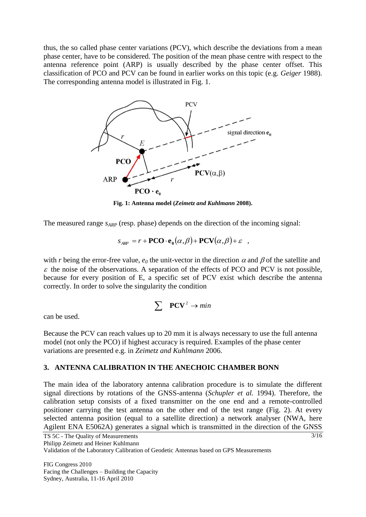thus, the so called phase center variations (PCV), which describe the deviations from a mean phase center, have to be considered. The position of the mean phase centre with respect to the antenna reference point (ARP) is usually described by the phase center offset. This classification of PCO and PCV can be found in earlier works on this topic (e.g. *Geiger* 1988). The corresponding antenna model is illustrated in [Fig. 1.](#page-2-0)



**Fig. 1: Antenna model (***Zeimetz and Kuhlmann* **2008).**

<span id="page-2-0"></span>The measured range *sARP* (resp. phase) depends on the direction of the incoming signal:

$$
S_{APP} = r + \mathbf{PCO} \cdot \mathbf{e}_0(\alpha, \beta) + \mathbf{PCV}(\alpha, \beta) + \varepsilon ,
$$

with *r* being the error-free value,  $e_0$  the unit-vector in the direction  $\alpha$  and  $\beta$  of the satellite and  $\epsilon$  the noise of the observations. A separation of the effects of PCO and PCV is not possible, because for every position of E, a specific set of PCV exist which describe the antenna correctly. In order to solve the singularity the condition

$$
\sum \quad \mathbf{PCV}^2 \to \min
$$

can be used.

Because the PCV can reach values up to 20 mm it is always necessary to use the full antenna model (not only the PCO) if highest accuracy is required. Examples of the phase center variations are presented e.g. in *Zeimetz and Kuhlmann* 2006.

### **3. ANTENNA CALIBRATION IN THE ANECHOIC CHAMBER BONN**

The main idea of the laboratory antenna calibration procedure is to simulate the different signal directions by rotations of the GNSS-antenna (*Schupler et al.* 1994). Therefore, the calibration setup consists of a fixed transmitter on the one end and a remote-controlled positioner carrying the test antenna on the other end of the test range [\(Fig. 2\)](#page-3-0). At every selected antenna position (equal to a satellite direction) a network analyser (NWA, here Agilent ENA E5062A) generates a signal which is transmitted in the direction of the GNSS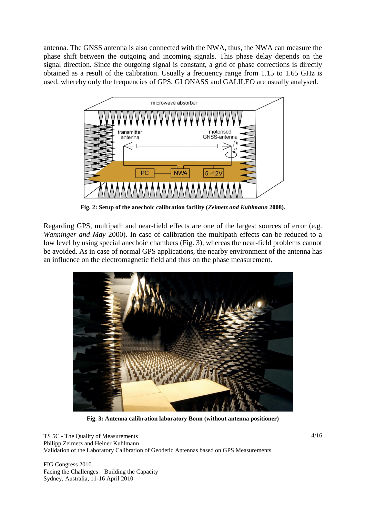antenna. The GNSS antenna is also connected with the NWA, thus, the NWA can measure the phase shift between the outgoing and incoming signals. This phase delay depends on the signal direction. Since the outgoing signal is constant, a grid of phase corrections is directly obtained as a result of the calibration. Usually a frequency range from 1.15 to 1.65 GHz is used, whereby only the frequencies of GPS, GLONASS and GALILEO are usually analysed.



**Fig. 2: Setup of the anechoic calibration facility (***Zeimetz and Kuhlmann* **2008).**

<span id="page-3-0"></span>Regarding GPS, multipath and near-field effects are one of the largest sources of error (e.g. *Wanninger and May* 2000). In case of calibration the multipath effects can be reduced to a low level by using special anechoic chambers [\(Fig. 3\)](#page-3-1), whereas the near-field problems cannot be avoided. As in case of normal GPS applications, the nearby environment of the antenna has an influence on the electromagnetic field and thus on the phase measurement.



**Fig. 3: Antenna calibration laboratory Bonn (without antenna positioner)**

<span id="page-3-1"></span>TS 5C - The Quality of Measurements Philipp Zeimetz and Heiner Kuhlmann Validation of the Laboratory Calibration of Geodetic Antennas based on GPS Measurements

FIG Congress 2010 Facing the Challenges – Building the Capacity Sydney, Australia, 11-16 April 2010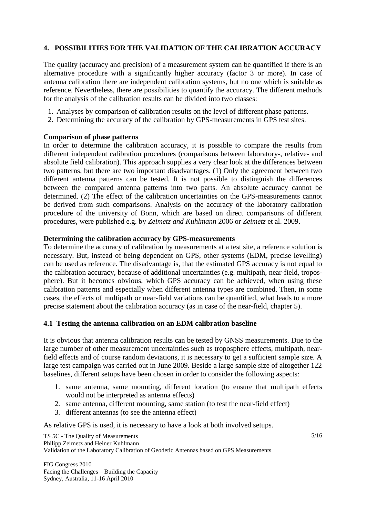### **4. POSSIBILITIES FOR THE VALIDATION OF THE CALIBRATION ACCURACY**

The quality (accuracy and precision) of a measurement system can be quantified if there is an alternative procedure with a significantly higher accuracy (factor 3 or more). In case of antenna calibration there are independent calibration systems, but no one which is suitable as reference. Nevertheless, there are possibilities to quantify the accuracy. The different methods for the analysis of the calibration results can be divided into two classes:

- 1. Analyses by comparison of calibration results on the level of different phase patterns.
- 2. Determining the accuracy of the calibration by GPS-measurements in GPS test sites.

### **Comparison of phase patterns**

In order to determine the calibration accuracy, it is possible to compare the results from different independent calibration procedures (comparisons between laboratory-, relative- and absolute field calibration). This approach supplies a very clear look at the differences between two patterns, but there are two important disadvantages. (1) Only the agreement between two different antenna patterns can be tested. It is not possible to distinguish the differences between the compared antenna patterns into two parts. An absolute accuracy cannot be determined. (2) The effect of the calibration uncertainties on the GPS-measurements cannot be derived from such comparisons. Analysis on the accuracy of the laboratory calibration procedure of the university of Bonn, which are based on direct comparisons of different procedures, were published e.g. by *Zeimetz and Kuhlmann* 2006 or *Zeimetz* et al. 2009.

### **Determining the calibration accuracy by GPS-measurements**

To determine the accuracy of calibration by measurements at a test site, a reference solution is necessary. But, instead of being dependent on GPS, other systems (EDM, precise levelling) can be used as reference. The disadvantage is, that the estimated GPS accuracy is not equal to the calibration accuracy, because of additional uncertainties (e.g. multipath, near-field, troposphere). But it becomes obvious, which GPS accuracy can be achieved, when using these calibration patterns and especially when different antenna types are combined. Then, in some cases, the effects of multipath or near-field variations can be quantified, what leads to a more precise statement about the calibration accuracy (as in case of the near-field, chapter 5).

### **4.1 Testing the antenna calibration on an EDM calibration baseline**

It is obvious that antenna calibration results can be tested by GNSS measurements. Due to the large number of other measurement uncertainties such as troposphere effects, multipath, nearfield effects and of course random deviations, it is necessary to get a sufficient sample size. A large test campaign was carried out in June 2009. Beside a large sample size of altogether 122 baselines, different setups have been chosen in order to consider the following aspects:

- 1. same antenna, same mounting, different location (to ensure that multipath effects would not be interpreted as antenna effects)
- 2. same antenna, different mounting, same station (to test the near-field effect)
- 3. different antennas (to see the antenna effect)

As relative GPS is used, it is necessary to have a look at both involved setups.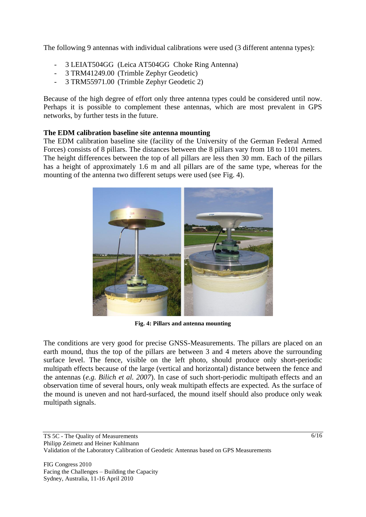The following 9 antennas with individual calibrations were used (3 different antenna types):

- 3 LEIAT504GG (Leica AT504GG Choke Ring Antenna)
- 3 TRM41249.00 (Trimble Zephyr Geodetic)
- 3 TRM55971.00 (Trimble Zephyr Geodetic 2)

Because of the high degree of effort only three antenna types could be considered until now. Perhaps it is possible to complement these antennas, which are most prevalent in GPS networks, by further tests in the future.

#### **The EDM calibration baseline site antenna mounting**

The EDM calibration baseline site (facility of the University of the German Federal Armed Forces) consists of 8 pillars. The distances between the 8 pillars vary from 18 to 1101 meters. The height differences between the top of all pillars are less then 30 mm. Each of the pillars has a height of approximately 1.6 m and all pillars are of the same type, whereas for the mounting of the antenna two different setups were used (see [Fig. 4\)](#page-5-0).



**Fig. 4: Pillars and antenna mounting**

<span id="page-5-0"></span>The conditions are very good for precise GNSS-Measurements. The pillars are placed on an earth mound, thus the top of the pillars are between 3 and 4 meters above the surrounding surface level. The fence, visible on the left photo, should produce only short-periodic multipath effects because of the large (vertical and horizontal) distance between the fence and the antennas (*e.g. Bilich et al. 2007*). In case of such short-periodic multipath effects and an observation time of several hours, only weak multipath effects are expected. As the surface of the mound is uneven and not hard-surfaced, the mound itself should also produce only weak multipath signals.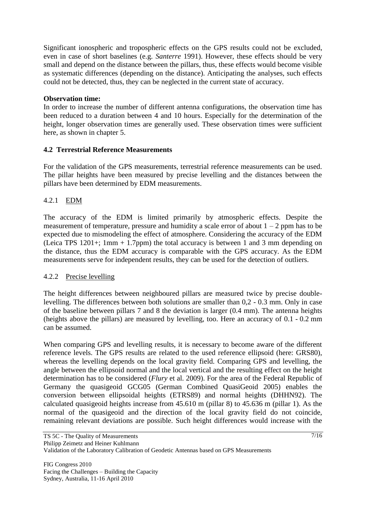Significant ionospheric and tropospheric effects on the GPS results could not be excluded, even in case of short baselines (e.g. *Santerre* 1991). However, these effects should be very small and depend on the distance between the pillars, thus, these effects would become visible as systematic differences (depending on the distance). Anticipating the analyses, such effects could not be detected, thus, they can be neglected in the current state of accuracy.

#### **Observation time:**

In order to increase the number of different antenna configurations, the observation time has been reduced to a duration between 4 and 10 hours. Especially for the determination of the height, longer observation times are generally used. These observation times were sufficient here, as shown in chapter 5.

### **4.2 Terrestrial Reference Measurements**

For the validation of the GPS measurements, terrestrial reference measurements can be used. The pillar heights have been measured by precise levelling and the distances between the pillars have been determined by EDM measurements.

### 4.2.1 EDM

The accuracy of the EDM is limited primarily by atmospheric effects. Despite the measurement of temperature, pressure and humidity a scale error of about  $1 - 2$  ppm has to be expected due to mismodeling the effect of atmosphere. Considering the accuracy of the EDM (Leica TPS 1201+; 1mm + 1.7ppm) the total accuracy is between 1 and 3 mm depending on the distance, thus the EDM accuracy is comparable with the GPS accuracy. As the EDM measurements serve for independent results, they can be used for the detection of outliers.

#### 4.2.2 Precise levelling

The height differences between neighboured pillars are measured twice by precise doublelevelling. The differences between both solutions are smaller than 0,2 - 0.3 mm. Only in case of the baseline between pillars 7 and 8 the deviation is larger (0.4 mm). The antenna heights (heights above the pillars) are measured by levelling, too. Here an accuracy of 0.1 - 0.2 mm can be assumed.

When comparing GPS and levelling results, it is necessary to become aware of the different reference levels. The GPS results are related to the used reference ellipsoid (here: GRS80), whereas the levelling depends on the local gravity field. Comparing GPS and levelling, the angle between the ellipsoid normal and the local vertical and the resulting effect on the height determination has to be considered (*Flury* et al. 2009). For the area of the Federal Republic of Germany the quasigeoid GCG05 (German Combined QuasiGeoid 2005) enables the conversion between ellipsoidal heights (ETRS89) and normal heights (DHHN92). The calculated quasigeoid heights increase from 45.610 m (pillar 8) to 45.636 m (pillar 1). As the normal of the quasigeoid and the direction of the local gravity field do not coincide, remaining relevant deviations are possible. Such height differences would increase with the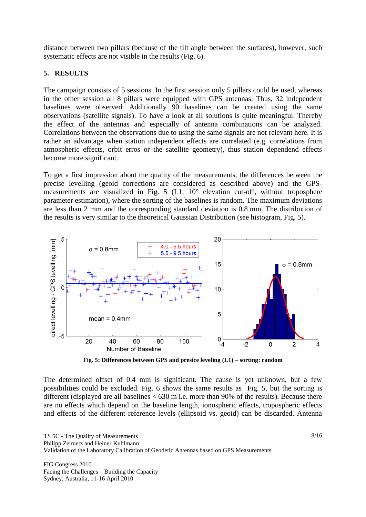distance between two pillars (because of the tilt angle between the surfaces), however, such systematic effects are not visible in the results [\(Fig. 6\)](#page-8-0).

## **5. RESULTS**

The campaign consists of 5 sessions. In the first session only 5 pillars could be used, whereas in the other session all 8 pillars were equipped with GPS antennas. Thus, 32 independent baselines were observed. Additionally 90 baselines can be created using the same observations (satellite signals). To have a look at all solutions is quite meaningful. Thereby the effect of the antennas and especially of antenna combinations can be analyzed. Correlations between the observations due to using the same signals are not relevant here. It is rather an advantage when station independent effects are correlated (e.g. correlations from atmospheric effects, orbit erros or the satellite geometry), thus station dependend effects become more significant.

To get a first impression about the quality of the measurements, the differences between the precise levelling (geoid corrections are considered as described above) and the GPSmeasurements are visualized in [Fig. 5](#page-7-0) (L1, 10° elevation cut-off, without troposphere parameter estimation), where the sorting of the baselines is random. The maximum deviations are less than 2 mm and the corresponding standard deviation is 0.8 mm. The distribution of the results is very similar to the theoretical Gaussian Distribution (see histogram, [Fig. 5\)](#page-7-0).



**Fig. 5: Differences between GPS and presice leveling (L1) – sorting: random**

<span id="page-7-0"></span>The determined offset of 0.4 mm is significant. The cause is yet unknown, but a few possibilities could be excluded. [Fig. 6](#page-8-0) shows the same results as [Fig. 5,](#page-7-0) but the sorting is different (displayed are all baselines < 630 m i.e. more than 90% of the results). Because there are no effects which depend on the baseline length, ionospheric effects, tropospheric effects and effects of the different reference levels (ellipsoid vs. geoid) can be discarded. Antenna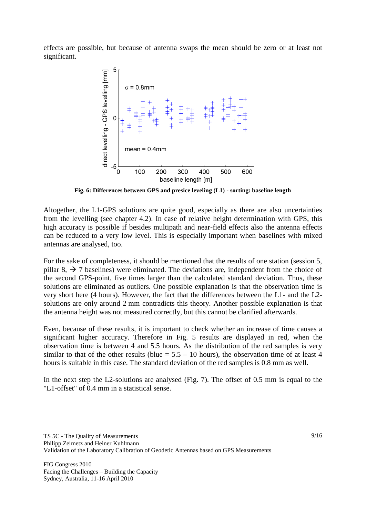effects are possible, but because of antenna swaps the mean should be zero or at least not significant.



**Fig. 6: Differences between GPS and presice leveling (L1) - sorting: baseline length**

<span id="page-8-0"></span>Altogether, the L1-GPS solutions are quite good, especially as there are also uncertainties from the levelling (see chapter 4.2). In case of relative height determination with GPS, this high accuracy is possible if besides multipath and near-field effects also the antenna effects can be reduced to a very low level. This is especially important when baselines with mixed antennas are analysed, too.

For the sake of completeness, it should be mentioned that the results of one station (session 5, pillar 8,  $\rightarrow$  7 baselines) were eliminated. The deviations are, independent from the choice of the second GPS-point, five times larger than the calculated standard deviation. Thus, these solutions are eliminated as outliers. One possible explanation is that the observation time is very short here (4 hours). However, the fact that the differences between the L1- and the L2 solutions are only around 2 mm contradicts this theory. Another possible explanation is that the antenna height was not measured correctly, but this cannot be clarified afterwards.

Even, because of these results, it is important to check whether an increase of time causes a significant higher accuracy. Therefore in [Fig. 5](#page-7-0) results are displayed in red, when the observation time is between 4 and 5.5 hours. As the distribution of the red samples is very similar to that of the other results (blue  $= 5.5 - 10$  hours), the observation time of at least 4 hours is suitable in this case. The standard deviation of the red samples is 0.8 mm as well.

In the next step the L2-solutions are analysed [\(Fig. 7\)](#page-9-0). The offset of 0.5 mm is equal to the "L1-offset" of 0.4 mm in a statistical sense.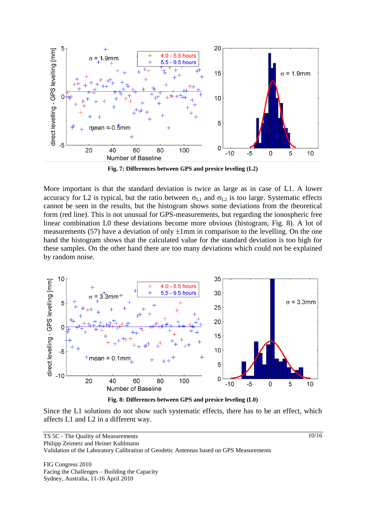

**Fig. 7: Differences between GPS and presice leveling (L2)**

<span id="page-9-0"></span>More important is that the standard deviation is twice as large as in case of L1. A lower accuracy for L2 is typical, but the ratio between  $\sigma_{L1}$  and  $\sigma_{L2}$  is too large. Systematic effects cannot be seen in the results, but the histogram shows some deviations from the theoretical form (red line). This is not unusual for GPS-measurements, but regarding the ionospheric free linear combination L0 these deviations become more obvious (histogram, [Fig. 8\)](#page-9-1). A lot of measurements (57) have a deviation of only  $\pm 1$ mm in comparison to the levelling. On the one hand the histogram shows that the calculated value for the standard deviation is too high for these samples. On the other hand there are too many deviations which could not be explained by random noise.



**Fig. 8: Differences between GPS and presice leveling (L0)**

<span id="page-9-1"></span>Since the L1 solutions do not show such systematic effects, there has to be an effect, which affects L1 and L2 in a different way.

FIG Congress 2010 Facing the Challenges – Building the Capacity Sydney, Australia, 11-16 April 2010

10/16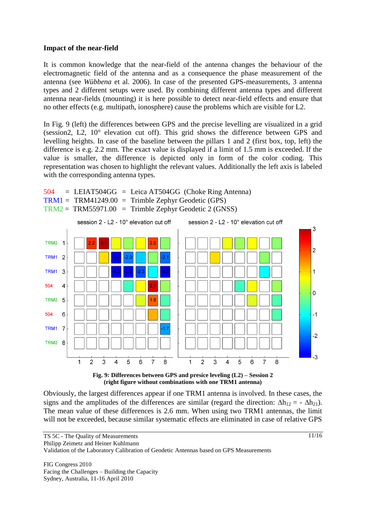#### **Impact of the near-field**

It is common knowledge that the near-field of the antenna changes the behaviour of the electromagnetic field of the antenna and as a consequence the phase measurement of the antenna (see *Wübbena* et al. 2006). In case of the presented GPS-measurements, 3 antenna types and 2 different setups were used. By combining different antenna types and different antenna near-fields (mounting) it is here possible to detect near-field effects and ensure that no other effects (e.g. multipath, ionosphere) cause the problems which are visible for L2.

In [Fig. 9](#page-10-0) (left) the differences between GPS and the precise levelling are visualized in a grid (session2, L2, 10° elevation cut off). This grid shows the difference between GPS and levelling heights. In case of the baseline between the pillars 1 and 2 (first box, top, left) the difference is e.g. 2.2 mm. The exact value is displayed if a limit of 1.5 mm is exceeded. If the value is smaller, the difference is depicted only in form of the color coding. This representation was chosen to highlight the relevant values. Additionally the left axis is labeled with the corresponding antenna types.





<span id="page-10-0"></span>Obviously, the largest differences appear if one TRM1 antenna is involved. In these cases, the signs and the amplitudes of the differences are similar (regard the direction:  $\Delta h_{12} = - \Delta h_{21}$ ). The mean value of these differences is 2.6 mm. When using two TRM1 antennas, the limit will not be exceeded, because similar systematic effects are eliminated in case of relative GPS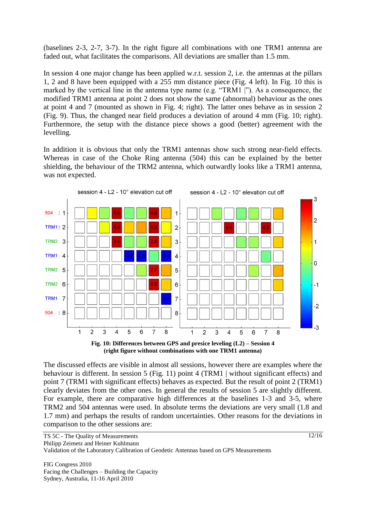(baselines 2-3, 2-7, 3-7). In the right figure all combinations with one TRM1 antenna are faded out, what facilitates the comparisons. All deviations are smaller than 1.5 mm.

In session 4 one major change has been applied w.r.t. session 2, i.e. the antennas at the pillars 1, 2 and 8 have been equipped with a 255 mm distance piece [\(Fig. 4](#page-5-0) left). In Fig. 10 this is marked by the vertical line in the antenna type name (e.g. "TRM1 |"). As a consequence, the modified TRM1 antenna at point 2 does not show the same (abnormal) behaviour as the ones at point 4 and 7 (mounted as shown in [Fig. 4;](#page-5-0) right). The latter ones behave as in session 2 [\(Fig. 9\)](#page-10-0). Thus, the changed near field produces a deviation of around 4 mm [\(Fig. 10;](#page-11-0) right). Furthermore, the setup with the distance piece shows a good (better) agreement with the levelling.

In addition it is obvious that only the TRM1 antennas show such strong near-field effects. Whereas in case of the Choke Ring antenna (504) this can be explained by the better shielding, the behaviour of the TRM2 antenna, which outwardly looks like a TRM1 antenna, was not expected.



**(right figure without combinations with one TRM1 antenna)**

<span id="page-11-0"></span>The discussed effects are visible in almost all sessions, however there are examples where the behaviour is different. In session 5 [\(Fig. 11\)](#page-12-0) point 4 (TRM1 | without significant effects) and point 7 (TRM1 with significant effects) behaves as expected. But the result of point 2 (TRM1) clearly deviates from the other ones. In general the results of session 5 are slightly different. For example, there are comparative high differences at the baselines 1-3 and 3-5, where TRM2 and 504 antennas were used. In absolute terms the deviations are very small (1.8 and 1.7 mm) and perhaps the results of random uncertainties. Other reasons for the deviations in comparison to the other sessions are: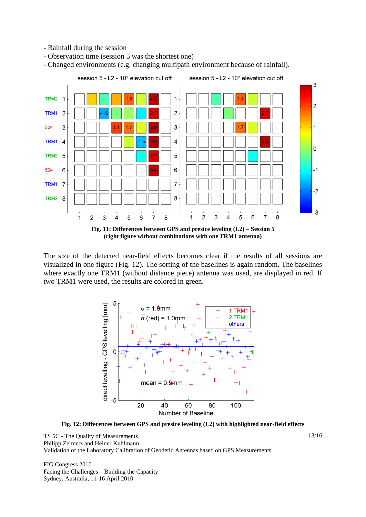- Rainfall during the session

- Observation time (session 5 was the shortest one)

- Changed environments (e.g. changing multipath environment because of rainfall).



<span id="page-12-0"></span>The size of the detected near-field effects becomes clear if the results of all sessions are visualized in one figure [\(Fig. 12\)](#page-12-1). The sorting of the baselines is again random. The baselines where exactly one TRM1 (without distance piece) antenna was used, are displayed in red. If two TRM1 were used, the results are colored in green.



<span id="page-12-1"></span>**Fig. 12: Differences between GPS and presice leveling (L2) with highlighted near-field effects**

FIG Congress 2010 Facing the Challenges – Building the Capacity Sydney, Australia, 11-16 April 2010

13/16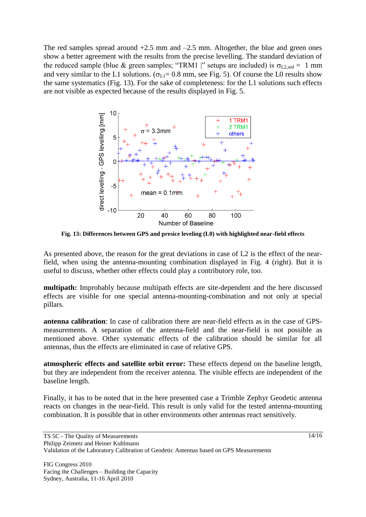The red samples spread around  $+2.5$  mm and  $-2.5$  mm. Altogether, the blue and green ones show a better agreement with the results from the precise levelling. The standard deviation of the reduced sample (blue & green samples; "TRM1 |" setups are included) is  $\sigma_{\text{L2,red}} = 1 \text{ mm}$ and very similar to the L1 solutions. ( $\sigma_{L1}= 0.8$  mm, see [Fig. 5\)](#page-7-0). Of course the L0 results show the same systematics [\(Fig. 13\)](#page-13-0). For the sake of completeness: for the L1 solutions such effects are not visible as expected because of the results displayed in [Fig. 5.](#page-7-0)



<span id="page-13-0"></span>**Fig. 13: Differences between GPS and presice leveling (L0) with highlighted near-field effects**

As presented above, the reason for the great deviations in case of L2 is the effect of the nearfield, when using the antenna-mounting combination displayed in [Fig. 4](#page-5-0) (right). But it is useful to discuss, whether other effects could play a contributory role, too.

**multipath:** Improbably because multipath effects are site-dependent and the here discussed effects are visible for one special antenna-mounting-combination and not only at special pillars.

**antenna calibration**: In case of calibration there are near-field effects as in the case of GPSmeasurements. A separation of the antenna-field and the near-field is not possible as mentioned above. Other systematic effects of the calibration should be similar for all antennas, thus the effects are eliminated in case of relative GPS.

**atmospheric effects and satellite orbit error:** These effects depend on the baseline length, but they are independent from the receiver antenna. The visible effects are independent of the baseline length.

Finally, it has to be noted that in the here presented case a Trimble Zephyr Geodetic antenna reacts on changes in the near-field. This result is only valid for the tested antenna-mounting combination. It is possible that in other environments other antennas react sensitively.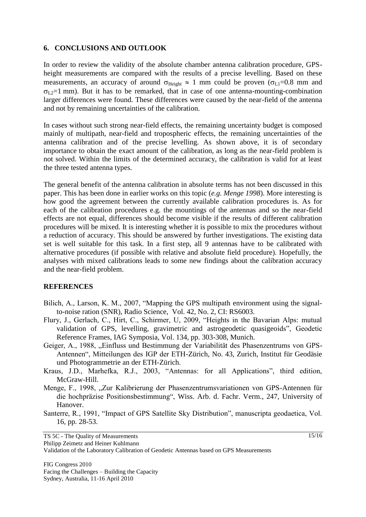#### **6. CONCLUSIONS AND OUTLOOK**

In order to review the validity of the absolute chamber antenna calibration procedure, GPSheight measurements are compared with the results of a precise levelling. Based on these measurements, an accuracy of around  $\sigma_{Height} \approx 1$  mm could be proven ( $\sigma_{L1}=0.8$  mm and  $\sigma_{L2}=1$  mm). But it has to be remarked, that in case of one antenna-mounting-combination larger differences were found. These differences were caused by the near-field of the antenna and not by remaining uncertainties of the calibration.

In cases without such strong near-field effects, the remaining uncertainty budget is composed mainly of multipath, near-field and tropospheric effects, the remaining uncertainties of the antenna calibration and of the precise levelling. As shown above, it is of secondary importance to obtain the exact amount of the calibration, as long as the near-field problem is not solved. Within the limits of the determined accuracy, the calibration is valid for at least the three tested antenna types.

The general benefit of the antenna calibration in absolute terms has not been discussed in this paper. This has been done in earlier works on this topic (*e.g. Menge 1998*). More interesting is how good the agreement between the currently available calibration procedures is. As for each of the calibration procedures e.g. the mountings of the antennas and so the near-field effects are not equal, differences should become visible if the results of different calibration procedures will be mixed. It is interesting whether it is possible to mix the procedures without a reduction of accuracy. This should be answered by further investigations. The existing data set is well suitable for this task. In a first step, all 9 antennas have to be calibrated with alternative procedures (if possible with relative and absolute field procedure). Hopefully, the analyses with mixed calibrations leads to some new findings about the calibration accuracy and the near-field problem.

### **REFERENCES**

Bilich, A., Larson, K. M., 2007, "Mapping the GPS multipath environment using the signalto-noise ration (SNR), Radio Science, Vol. 42, No. 2, CI: RS6003.

- Flury, J., Gerlach, C., Hirt, C., Schirmer, U, 2009, "Heights in the Bavarian Alps: mutual validation of GPS, levelling, gravimetric and astrogeodetic quasigeoids", Geodetic Reference Frames, IAG Symposia, Vol. 134, pp. 303-308, Munich.
- Geiger, A., 1988, "Einfluss und Bestimmung der Variabilität des Phasenzentrums von GPS-Antennen", Mitteilungen des IGP der ETH-Zürich, No. 43, Zurich, Institut für Geodäsie und Photogrammetrie an der ETH-Zürich.
- Kraus, J.D., Marhefka, R.J., 2003, "Antennas: for all Applications", third edition, McGraw-Hill.
- Menge, F., 1998, "Zur Kalibrierung der Phasenzentrumsvariationen von GPS-Antennen für die hochpräzise Positionsbestimmung", Wiss. Arb. d. Fachr. Verm., 247, University of Hanover.
- Santerre, R., 1991, "Impact of GPS Satellite Sky Distribution", manuscripta geodaetica, Vol. 16, pp. 28-53.

Philipp Zeimetz and Heiner Kuhlmann

Validation of the Laboratory Calibration of Geodetic Antennas based on GPS Measurements